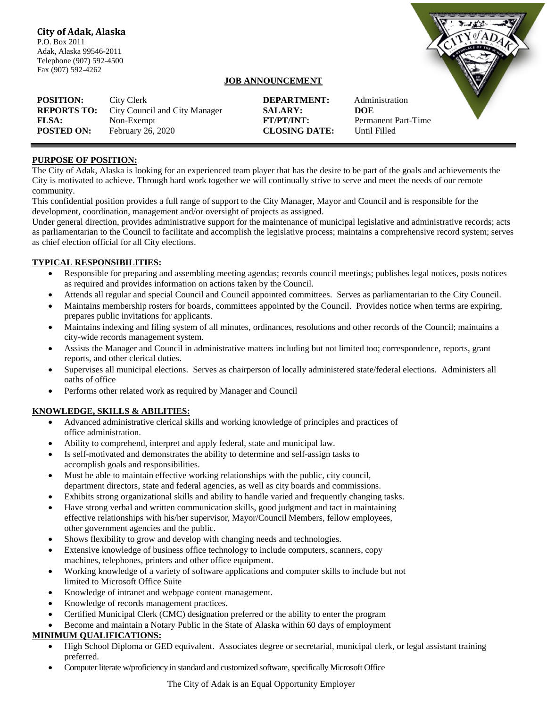Telephone (907) 592-4500 Fax (907) 592-4262

## **JOB ANNOUNCEMENT**

**POSITION:** City Clerk **DEPARTMENT:** Administration **REPORTS TO:** City Council and City Manager **SALARY: DOE FLSA:** Non-Exempt **FT/PT/INT:** Permanent Part-Time **POSTED ON:** February 26, 2020 **CLOSING DATE:** Until Filled

#### **PURPOSE OF POSITION:**

The City of Adak, Alaska is looking for an experienced team player that has the desire to be part of the goals and achievements the City is motivated to achieve. Through hard work together we will continually strive to serve and meet the needs of our remote community.

This confidential position provides a full range of support to the City Manager, Mayor and Council and is responsible for the development, coordination, management and/or oversight of projects as assigned.

Under general direction, provides administrative support for the maintenance of municipal legislative and administrative records; acts as parliamentarian to the Council to facilitate and accomplish the legislative process; maintains a comprehensive record system; serves as chief election official for all City elections.

#### **TYPICAL RESPONSIBILITIES:**

- Responsible for preparing and assembling meeting agendas; records council meetings; publishes legal notices, posts notices as required and provides information on actions taken by the Council.
- Attends all regular and special Council and Council appointed committees. Serves as parliamentarian to the City Council.
- Maintains membership rosters for boards, committees appointed by the Council. Provides notice when terms are expiring, prepares public invitations for applicants.
- Maintains indexing and filing system of all minutes, ordinances, resolutions and other records of the Council; maintains a city-wide records management system.
- Assists the Manager and Council in administrative matters including but not limited too; correspondence, reports, grant reports, and other clerical duties.
- Supervises all municipal elections. Serves as chairperson of locally administered state/federal elections. Administers all oaths of office
- Performs other related work as required by Manager and Council

### **KNOWLEDGE, SKILLS & ABILITIES:**

- Advanced administrative clerical skills and working knowledge of principles and practices of office administration.
- Ability to comprehend, interpret and apply federal, state and municipal law.
- Is self-motivated and demonstrates the ability to determine and self-assign tasks to accomplish goals and responsibilities.
- Must be able to maintain effective working relationships with the public, city council, department directors, state and federal agencies, as well as city boards and commissions.
- Exhibits strong organizational skills and ability to handle varied and frequently changing tasks.
- Have strong verbal and written communication skills, good judgment and tact in maintaining effective relationships with his/her supervisor, Mayor/Council Members, fellow employees, other government agencies and the public.
- Shows flexibility to grow and develop with changing needs and technologies.
- Extensive knowledge of business office technology to include computers, scanners, copy machines, telephones, printers and other office equipment.
- Working knowledge of a variety of software applications and computer skills to include but not limited to Microsoft Office Suite
- Knowledge of intranet and webpage content management.
- Knowledge of records management practices.
- Certified Municipal Clerk (CMC) designation preferred or the ability to enter the program
- Become and maintain a Notary Public in the State of Alaska within 60 days of employment

# **MINIMUM QUALIFICATIONS:**

- High School Diploma or GED equivalent. Associates degree or secretarial, municipal clerk, or legal assistant training preferred.
- Computer literate w/proficiency in standard and customized software, specifically Microsoft Office